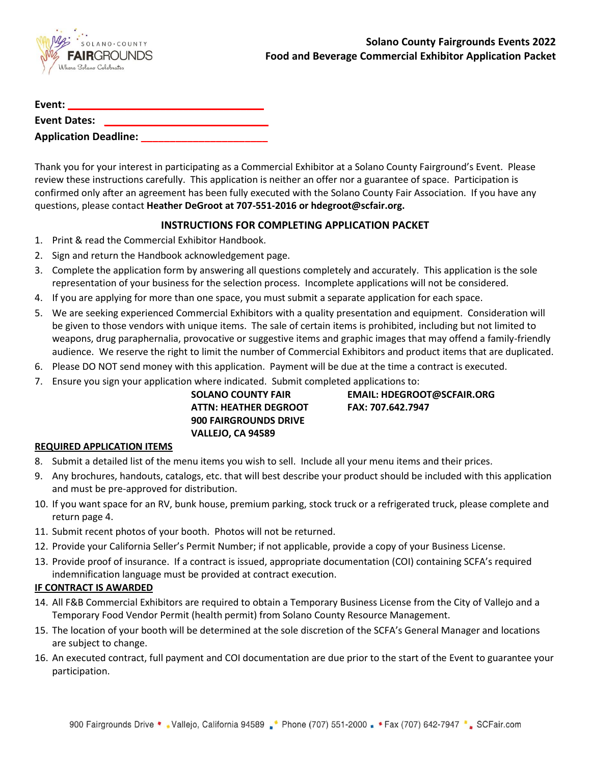

| Event:              |                              |  |
|---------------------|------------------------------|--|
| <b>Event Dates:</b> |                              |  |
|                     | <b>Application Deadline:</b> |  |

Thank you for your interest in participating as a Commercial Exhibitor at a Solano County Fairground's Event. Please review these instructions carefully. This application is neither an offer nor a guarantee of space. Participation is confirmed only after an agreement has been fully executed with the Solano County Fair Association. If you have any questions, please contact **Heather DeGroot at 707-551-2016 or hdegroot@scfair.org.**

## **INSTRUCTIONS FOR COMPLETING APPLICATION PACKET**

- 1. Print & read the Commercial Exhibitor Handbook.
- 2. Sign and return the Handbook acknowledgement page.
- 3. Complete the application form by answering all questions completely and accurately. This application is the sole representation of your business for the selection process. Incomplete applications will not be considered.
- 4. If you are applying for more than one space, you must submit a separate application for each space.
- 5. We are seeking experienced Commercial Exhibitors with a quality presentation and equipment. Consideration will be given to those vendors with unique items. The sale of certain items is prohibited, including but not limited to weapons, drug paraphernalia, provocative or suggestive items and graphic images that may offend a family-friendly audience. We reserve the right to limit the number of Commercial Exhibitors and product items that are duplicated.
- 6. Please DO NOT send money with this application. Payment will be due at the time a contract is executed.
- 7. Ensure you sign your application where indicated. Submit completed applications to:

| <b>SOLANO COUNTY FAIR</b>    |
|------------------------------|
| ATTN: HEATHER DEGROOT        |
| <b>900 FAIRGROUNDS DRIVE</b> |
| VALLEJO. CA 94589            |

**SOLANO COUNTY FAIR EMAIL: HDEGROOT@SCFAIR.ORG ATTN: HEATHER DEGROOT FAX: 707.642.7947**

### **REQUIRED APPLICATION ITEMS**

- 8. Submit a detailed list of the menu items you wish to sell. Include all your menu items and their prices.
- 9. Any brochures, handouts, catalogs, etc. that will best describe your product should be included with this application and must be pre-approved for distribution.
- 10. If you want space for an RV, bunk house, premium parking, stock truck or a refrigerated truck, please complete and return page 4.
- 11. Submit recent photos of your booth. Photos will not be returned.
- 12. Provide your California Seller's Permit Number; if not applicable, provide a copy of your Business License.
- 13. Provide proof of insurance. If a contract is issued, appropriate documentation (COI) containing SCFA's required indemnification language must be provided at contract execution.

### **IF CONTRACT IS AWARDED**

- 14. All F&B Commercial Exhibitors are required to obtain a Temporary Business License from the City of Vallejo and a Temporary Food Vendor Permit (health permit) from Solano County Resource Management.
- 15. The location of your booth will be determined at the sole discretion of the SCFA's General Manager and locations are subject to change.
- 16. An executed contract, full payment and COI documentation are due prior to the start of the Event to guarantee your participation.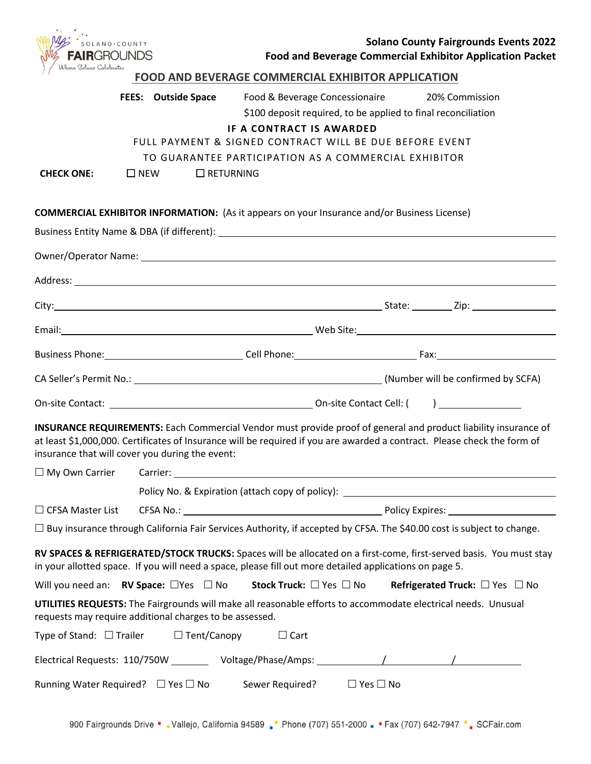| SOLANO·COUNTY<br><b>FAIR</b> GROUNDS<br>Where Solano Celebrates | <b>Solano County Fairgrounds Events 2022</b><br><b>Food and Beverage Commercial Exhibitor Application Packet</b>                                                                                                                                                                                                                    |
|-----------------------------------------------------------------|-------------------------------------------------------------------------------------------------------------------------------------------------------------------------------------------------------------------------------------------------------------------------------------------------------------------------------------|
|                                                                 | <b>FOOD AND BEVERAGE COMMERCIAL EXHIBITOR APPLICATION</b>                                                                                                                                                                                                                                                                           |
| <b>CHECK ONE:</b>                                               | <b>FEES:</b> Outside Space<br>Food & Beverage Concessionaire<br>20% Commission<br>\$100 deposit required, to be applied to final reconciliation<br>IF A CONTRACT IS AWARDED<br>FULL PAYMENT & SIGNED CONTRACT WILL BE DUE BEFORE EVENT<br>TO GUARANTEE PARTICIPATION AS A COMMERCIAL EXHIBITOR<br>$\square$ NEW<br>$\Box$ RETURNING |
|                                                                 | <b>COMMERCIAL EXHIBITOR INFORMATION:</b> (As it appears on your Insurance and/or Business License)                                                                                                                                                                                                                                  |
|                                                                 |                                                                                                                                                                                                                                                                                                                                     |
|                                                                 |                                                                                                                                                                                                                                                                                                                                     |
|                                                                 |                                                                                                                                                                                                                                                                                                                                     |
|                                                                 |                                                                                                                                                                                                                                                                                                                                     |
|                                                                 |                                                                                                                                                                                                                                                                                                                                     |
|                                                                 | Business Phone: 1990 Cell Phone: 2000 Cell Phone: 2000 Cell Phone: 2000 Phone: 2000 Pax: 2000 Phone: 2000 Phone                                                                                                                                                                                                                     |
|                                                                 |                                                                                                                                                                                                                                                                                                                                     |
|                                                                 |                                                                                                                                                                                                                                                                                                                                     |
|                                                                 | <b>INSURANCE REQUIREMENTS:</b> Each Commercial Vendor must provide proof of general and product liability insurance of<br>at least \$1,000,000. Certificates of Insurance will be required if you are awarded a contract. Please check the form of<br>insurance that will cover you during the event:                               |
| $\Box$ My Own Carrier                                           |                                                                                                                                                                                                                                                                                                                                     |
|                                                                 | Policy No. & Expiration (attach copy of policy): ________________________________                                                                                                                                                                                                                                                   |
| $\Box$ CFSA Master List                                         |                                                                                                                                                                                                                                                                                                                                     |
|                                                                 | □ Buy insurance through California Fair Services Authority, if accepted by CFSA. The \$40.00 cost is subject to change.                                                                                                                                                                                                             |
|                                                                 | RV SPACES & REFRIGERATED/STOCK TRUCKS: Spaces will be allocated on a first-come, first-served basis. You must stay<br>in your allotted space. If you will need a space, please fill out more detailed applications on page 5.                                                                                                       |
|                                                                 | Will you need an: <b>RV Space:</b> $\Box$ Yes $\Box$ No<br>Stock Truck: $\square$ Yes $\square$ No<br>Refrigerated Truck: $\Box$ Yes $\Box$ No                                                                                                                                                                                      |
|                                                                 | UTILITIES REQUESTS: The Fairgrounds will make all reasonable efforts to accommodate electrical needs. Unusual<br>requests may require additional charges to be assessed.                                                                                                                                                            |
|                                                                 | Type of Stand: $\Box$ Trailer $\Box$ Tent/Canopy<br>$\Box$ Cart                                                                                                                                                                                                                                                                     |
|                                                                 |                                                                                                                                                                                                                                                                                                                                     |
|                                                                 | Running Water Required? $\Box$ Yes $\Box$ No<br>Sewer Required? $\Box$ Yes $\Box$ No                                                                                                                                                                                                                                                |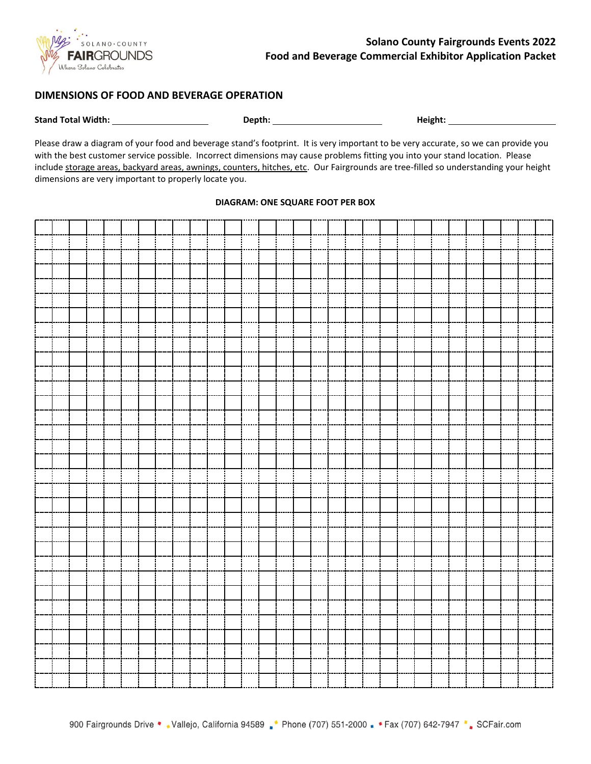

### **DIMENSIONS OF FOOD AND BEVERAGE OPERATION**

**Stand Total Width: Depth: Height:** 

Please draw a diagram of your food and beverage stand's footprint. It is very important to be very accurate, so we can provide you with the best customer service possible. Incorrect dimensions may cause problems fitting you into your stand location. Please include storage areas, backyard areas, awnings, counters, hitches, etc. Our Fairgrounds are tree-filled so understanding your height dimensions are very important to properly locate you.

#### **DIAGRAM: ONE SQUARE FOOT PER BOX**